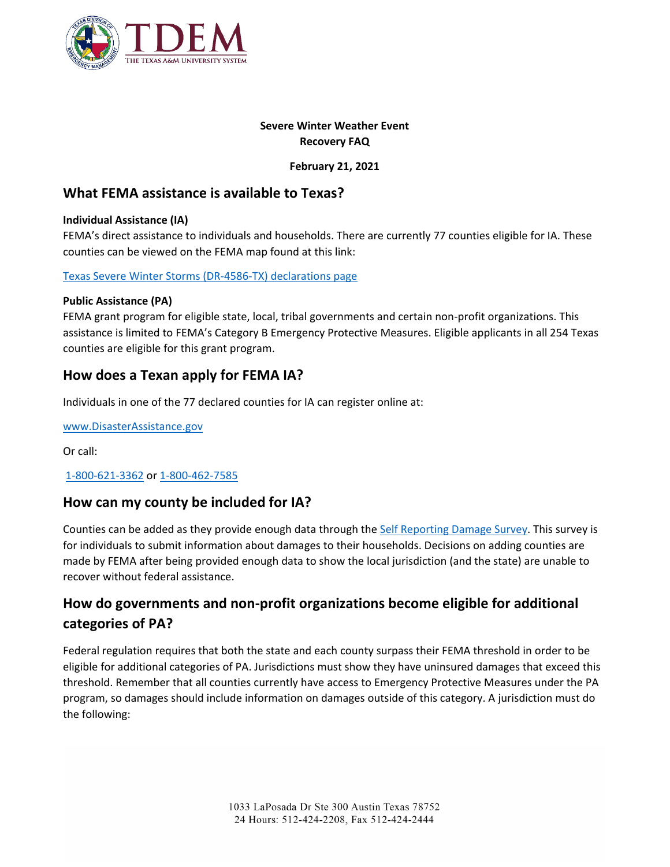

## **Severe Winter Weather Event Recovery FAQ**

## **February 21, 2021**

# **What FEMA assistance is available to Texas?**

### **Individual Assistance (IA)**

FEMA's direct assistance to individuals and households. There are currently 77 counties eligible for IA. These counties can be viewed on the FEMA map found at this link:

#### [Texas Severe Winter Storms \(DR-4586-TX\) declarations page](https://www.fema.gov/disaster/4586)

### **Public Assistance (PA)**

FEMA grant program for eligible state, local, tribal governments and certain non-profit organizations. This assistance is limited to FEMA's Category B Emergency Protective Measures. Eligible applicants in all 254 Texas counties are eligible for this grant program.

# **How does a Texan apply for FEMA IA?**

Individuals in one of the 77 declared counties for IA can register online at:

[www.DisasterAssistance.gov](https://nam02.safelinks.protection.outlook.com/?url=https%3A%2F%2Flnks.gd%2Fl%2FeyJhbGciOiJIUzI1NiJ9.eyJidWxsZXRpbl9saW5rX2lkIjoxMDIsInVyaSI6ImJwMjpjbGljayIsImJ1bGxldGluX2lkIjoiMjAyMTAyMjAuMzU2MDMwODEiLCJ1cmwiOiJodHRwOi8vd3d3LkRpc2FzdGVyQXNzaXN0YW5jZS5nb3YifQ.yhrn6xsHy2xCoUF-Sqcky6AMoI_m2Q6O5JsrzoR1NiU%2Fs%2F1170216957%2Fbr%2F98135522541-l&data=04%7C01%7Cseth.christensen%40tdem.texas.gov%7Cfd25a1d5b4bd4fbe812208d8d5b5d382%7Cf90d3f8300a640eb8eb25fb8d5265096%7C0%7C0%7C637494324208626346%7CUnknown%7CTWFpbGZsb3d8eyJWIjoiMC4wLjAwMDAiLCJQIjoiV2luMzIiLCJBTiI6Ik1haWwiLCJXVCI6Mn0%3D%7C1000&sdata=vdWub0DVHX%2BJVYkr61JimBoddLX46i6kSEOFBPZpDeU%3D&reserved=0)

Or call:

## [1-800-621-3362](tel:1-800-621-3362) or [1-800-462-7585](tel:1-800-462-7585)

## **How can my county be included for IA?**

Counties can be added as they provide enough data through the [Self Reporting Damage Survey.](https://tdem.texas.gov/warming-center/) This survey is for individuals to submit information about damages to their households. Decisions on adding counties are made by FEMA after being provided enough data to show the local jurisdiction (and the state) are unable to recover without federal assistance.

# **How do governments and non-profit organizations become eligible for additional categories of PA?**

Federal regulation requires that both the state and each county surpass their FEMA threshold in order to be eligible for additional categories of PA. Jurisdictions must show they have uninsured damages that exceed this threshold. Remember that all counties currently have access to Emergency Protective Measures under the PA program, so damages should include information on damages outside of this category. A jurisdiction must do the following: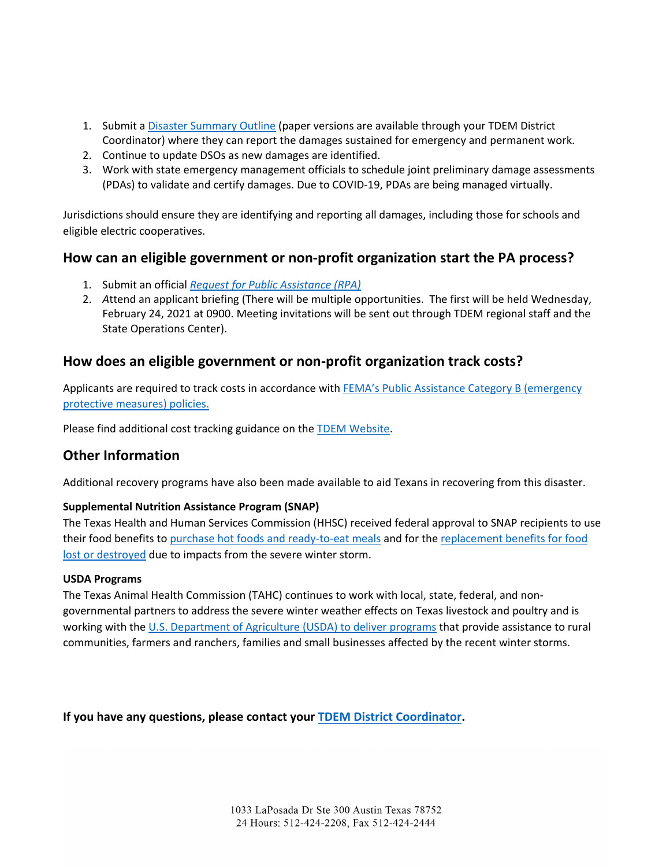- 1. Submit a [Disaster Summary Outline](https://dso.soc.texas.gov/) (paper versions are available through your TDEM District Coordinator) where they can report the damages sustained for emergency and permanent work.
- 2. Continue to update DSOs as new damages are identified.
- 3. Work with state emergency management officials to schedule joint preliminary damage assessments (PDAs) to validate and certify damages. Due to COVID-19, PDAs are being managed virtually.

Jurisdictions should ensure they are identifying and reporting all damages, including those for schools and eligible electric cooperatives.

# **How can an eligible government or non-profit organization start the PA process?**

- 1. Submit an official *[Request for Public Assistance \(RPA\)](https://grantee.fema.gov/)*
- 2. *A*ttend an applicant briefing (There will be multiple opportunities. The first will be held Wednesday, February 24, 2021 at 0900. Meeting invitations will be sent out through TDEM regional staff and the State Operations Center).

# **How does an eligible government or non-profit organization track costs?**

Applicants are required to track costs in accordance with FEMA's Public Assistance Category B (emergency [protective measures\) policies.](https://www.fema.gov/sites/default/files/2020-06/fema_public-assistance-program-and-policy-guide_v4_6-1-2020.pdf)

Please find additional cost tracking guidance on the [TDEM Website.](https://tdem.texas.gov/local-officials-resources/)

# **Other Information**

Additional recovery programs have also been made available to aid Texans in recovering from this disaster.

## **Supplemental Nutrition Assistance Program (SNAP)**

The Texas Health and Human Services Commission (HHSC) received federal approval to SNAP recipients to use their food benefits to [purchase hot foods and ready-to-eat meals](https://gov.texas.gov/news/post/governor-abbott-hhsc-announce-federal-approval-allowing-snap-clients-to-purchase-hot-foods) and for the [replacement benefits for food](https://gov.texas.gov/news/post/governor-abbott-hhsc-announce-federal-approval-for-snap-benefit-replacements-due-to-winter-storm)  [lost or destroyed](https://gov.texas.gov/news/post/governor-abbott-hhsc-announce-federal-approval-for-snap-benefit-replacements-due-to-winter-storm) due to impacts from the severe winter storm.

#### **USDA Programs**

The Texas Animal Health Commission (TAHC) continues to work with local, state, federal, and nongovernmental partners to address the severe winter weather effects on Texas livestock and poultry and is working with the [U.S. Department of Agriculture \(USDA\) to deliver programs](https://www.usda.gov/media/press-releases/2021/02/17/usda-ready-assist-farmers-ranchers-and-communities-affected-winter) that provide assistance to rural communities, farmers and ranchers, families and small businesses affected by the recent winter storms.

**If you have any questions, please contact your [TDEM District Coordinator.](https://tdem.texas.gov/field-response/)**